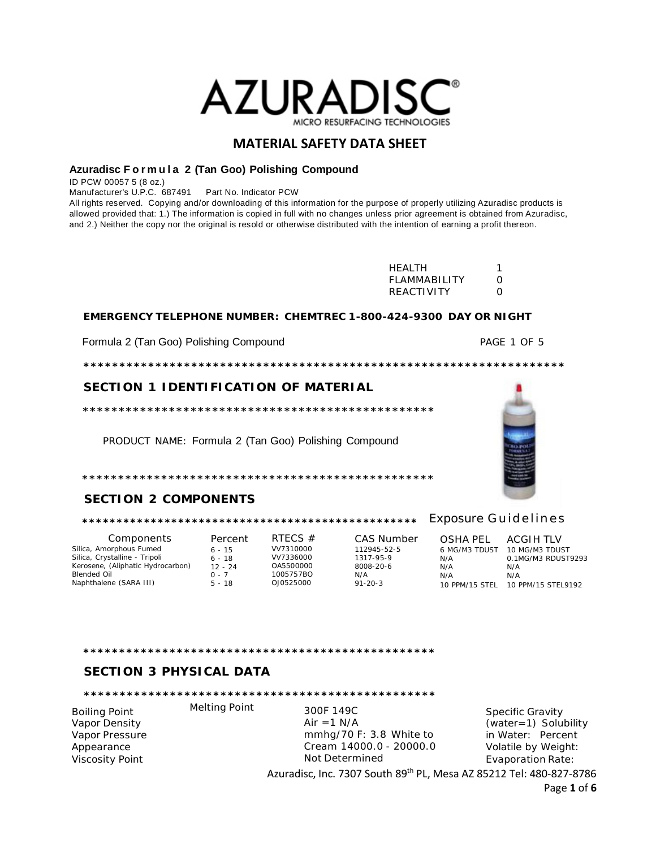

#### Azuradisc Formula 2 (Tan Goo) Polishing Compound

ID PCW 00057 5 (8 oz.)

Manufacturer's U.P.C. 687491 Part No. Indicator PCW

All rights reserved. Copying and/or downloading of this information for the purpose of properly utilizing Azuradisc products is allowed provided that: 1.) The information is copied in full with no changes unless prior agreement is obtained from Azuradisc, and 2.) Neither the copy nor the original is resold or otherwise distributed with the intention of earning a profit thereon.

| HFAI TH           |   |
|-------------------|---|
| FLAMMARILITY      | O |
| <b>REACTIVITY</b> | O |

#### EMERGENCY TELEPHONE NUMBER: CHEMTREC 1-800-424-9300 DAY OR NIGHT

Formula 2 (Tan Goo) Polishing Compound

PAGE 1 OF 5

### SECTION 1 IDENTIFICATION OF MATERIAL

PRODUCT NAME: Formula 2 (Tan Goo) Polishing Compound

## **SECTION 2 COMPONENTS**

### 

Components Silica, Amorphous Fumed<br>Silica, Crystalline - Tripoli Kerosene, (Aliphatic Hydrocarbon) Blended Oil Naphthalene (SARA III)

Percent RTECS  $#$  $6 - 15$ VV7310000 VV7336000  $6 - 18$ 0A5500000<br>0A5500000<br>1005757BO 12 - 24  $0 - 7$ OJ0525000  $5 - 18$ 

1317-95-9 8008-20-6  $N/A$ 

CAS Number 112945-52-5  $91 - 20 - 3$ 

**OSHA PEL** 6 MG/M3 TDUST 10 MG/M3 TDUST  $N/A$  $N/A$  $N/A$ 

**ACGIH TLV** 0.1MG/M3 RDUST9293  $N/A$  $N/A$ 10 PPM/15 STEL 10 PPM/15 STEL9192

## **SECTION 3 PHYSICAL DATA**

**Melting Point** 

**Boiling Point** Vapor Density Vapor Pressure Appearance **Viscosity Point** 

300F 149C Air =  $1$  N/A mmhg/70 F: 3.8 White to Cream 14000.0 - 20000.0 Not Determined

**Specific Gravity**  $(water=1)$  Solubility in Water: Percent Volatile by Weight: **Evaporation Rate:** 

Azuradisc, Inc. 7307 South 89th PL, Mesa AZ 85212 Tel: 480-827-8786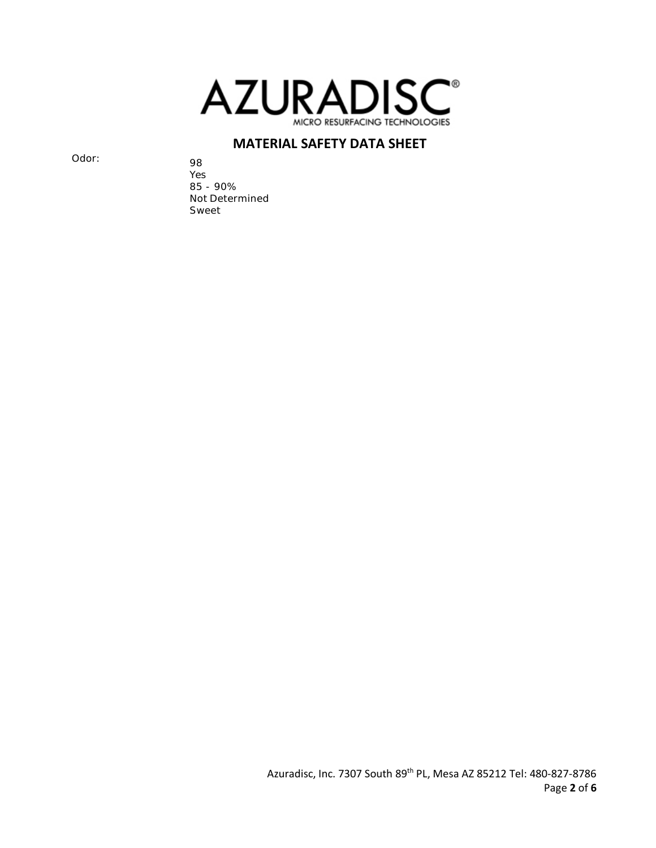

Odor: 98

Yes 85 - 90% Not Determined Sweet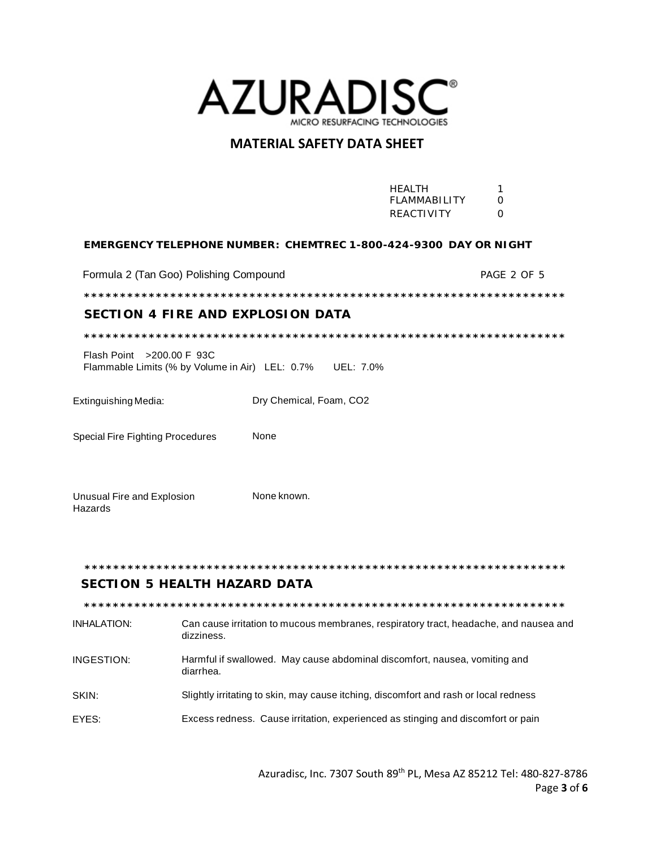

|                                                                                         |                         |  | <b>HEALTH</b><br><b>FLAMMABILITY</b><br>REACTIVITY | 1<br>$\Omega$<br>$\Omega$ |
|-----------------------------------------------------------------------------------------|-------------------------|--|----------------------------------------------------|---------------------------|
| EMERGENCY TELEPHONE NUMBER: CHEMTREC 1-800-424-9300 DAY OR NIGHT                        |                         |  |                                                    |                           |
| Formula 2 (Tan Goo) Polishing Compound                                                  |                         |  |                                                    | PAGE 2 OF 5               |
|                                                                                         |                         |  |                                                    |                           |
| <b>SECTION 4 FIRE AND EXPLOSION DATA</b>                                                |                         |  |                                                    |                           |
|                                                                                         |                         |  |                                                    |                           |
| Flash Point > 200.00 F 93C<br>Flammable Limits (% by Volume in Air) LEL: 0.7% UEL: 7.0% |                         |  |                                                    |                           |
| Extinguishing Media:                                                                    | Dry Chemical, Foam, CO2 |  |                                                    |                           |
| Special Fire Fighting Procedures                                                        | None                    |  |                                                    |                           |
| Unusual Fire and Explosion<br>Hazards                                                   | None known.             |  |                                                    |                           |

#### \*\*\*\*\*\*\*\*\*\*\*\*\*\*\*\*\*\*\*\*\*\*\*\*\*\*\*\*\*\*

### **SECTION 5 HEALTH HAZARD DATA**

**INHALATION:** Can cause irritation to mucous membranes, respiratory tract, headache, and nausea and dizziness.

- INGESTION: Harmful if swallowed. May cause abdominal discomfort, nausea, vomiting and diarrhea.
- SKIN: Slightly irritating to skin, may cause itching, discomfort and rash or local redness
- EYES: Excess redness. Cause irritation, experienced as stinging and discomfort or pain

Azuradisc, Inc. 7307 South 89<sup>th</sup> PL, Mesa AZ 85212 Tel: 480-827-8786 Page 3 of 6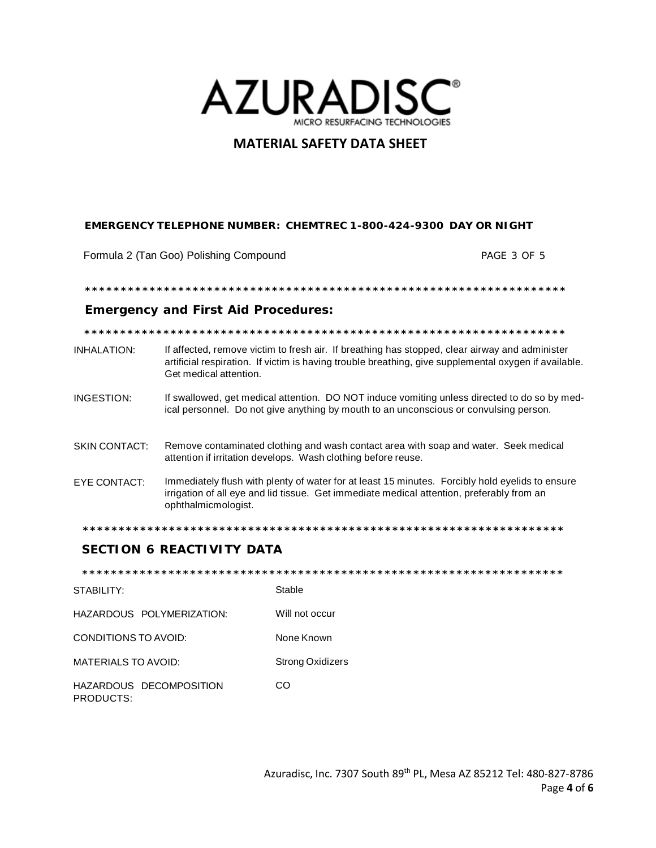

### EMERGENCY TELEPHONE NUMBER: CHEMTREC 1-800-424-9300 DAY OR NIGHT

Formula 2 (Tan Goo) Polishing Compound

PAGE 3 OF 5

### **Emergency and First Aid Procedures:**

| INHALATION: | If affected, remove victim to fresh air. If breathing has stopped, clear airway and administer        |
|-------------|-------------------------------------------------------------------------------------------------------|
|             | artificial respiration. If victim is having trouble breathing, give supplemental oxygen if available. |
|             | Get medical attention.                                                                                |
|             |                                                                                                       |

- If swallowed, get medical attention. DO NOT induce vomiting unless directed to do so by med-INGESTION: ical personnel. Do not give anything by mouth to an unconscious or convulsing person.
- Remove contaminated clothing and wash contact area with soap and water. Seek medical **SKIN CONTACT:** attention if irritation develops. Wash clothing before reuse.
- EYE CONTACT: Immediately flush with plenty of water for at least 15 minutes. Forcibly hold eyelids to ensure irrigation of all eye and lid tissue. Get immediate medical attention, preferably from an ophthalmicmologist.

### **SECTION 6 REACTIVITY DATA**

STABILITY: Stable HAZARDOUS POLYMERIZATION: Will not occur None Known **CONDITIONS TO AVOID:** MATERIALS TO AVOID: **Strong Oxidizers** HAZARDOUS DECOMPOSITION  $CO$ PRODUCTS: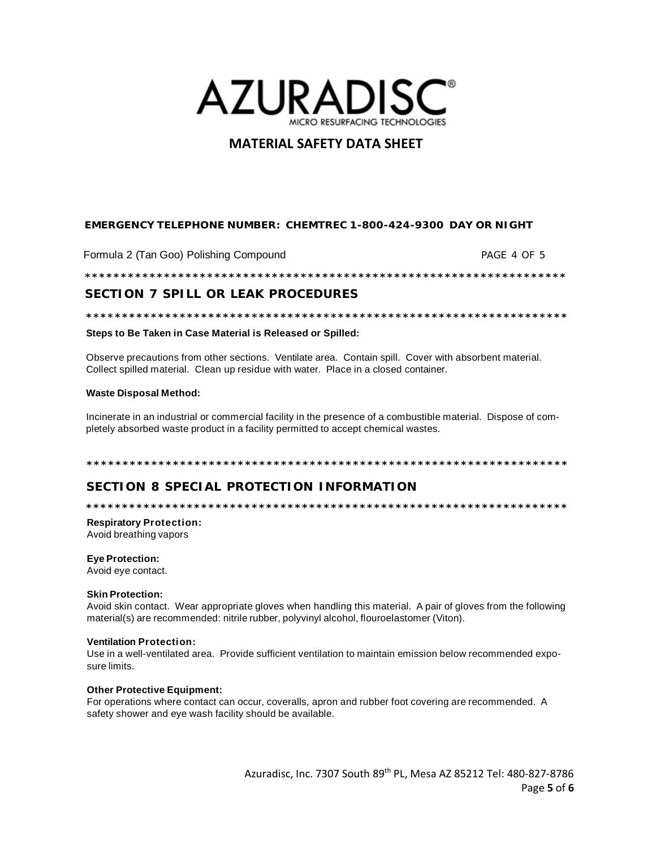

### EMERGENCY TELEPHONE NUMBER: CHEMTREC 1-800-424-9300 DAY OR NIGHT

Formula 2 (Tan Goo) Polishing Compound PAGE 4 OF 5

### **SECTION 7 SPILL OR LEAK PROCEDURES**

### Steps to Be Taken in Case Material is Released or Spilled:

Observe precautions from other sections. Ventilate area. Contain spill. Cover with absorbent material. Collect spilled material. Clean up residue with water. Place in a closed container.

#### **Waste Disposal Method:**

Incinerate in an industrial or commercial facility in the presence of a combustible material. Dispose of completely absorbed waste product in a facility permitted to accept chemical wastes.

#### 

## SECTION 8 SPECIAL PROTECTION INFORMATION

### **Respiratory Protection:**

Avoid breathing vapors

#### **Eye Protection:**

Avoid eye contact.

#### **Skin Protection:**

Avoid skin contact. Wear appropriate gloves when handling this material. A pair of gloves from the following material(s) are recommended: nitrile rubber, polyvinyl alcohol, flouroelastomer (Viton).

### **Ventilation Protection:**

Use in a well-ventilated area. Provide sufficient ventilation to maintain emission below recommended exposure limits.

#### **Other Protective Equipment:**

For operations where contact can occur, coveralls, apron and rubber foot covering are recommended. A safety shower and eye wash facility should be available.